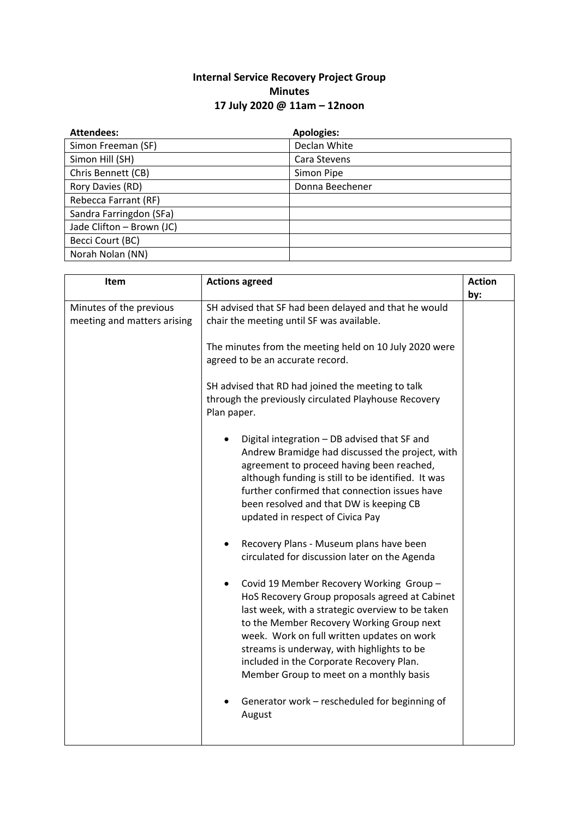## **Internal Service Recovery Project Group Minutes 17 July 2020 @ 11am – 12noon**

| <b>Attendees:</b>         | <b>Apologies:</b> |
|---------------------------|-------------------|
| Simon Freeman (SF)        | Declan White      |
| Simon Hill (SH)           | Cara Stevens      |
| Chris Bennett (CB)        | Simon Pipe        |
| Rory Davies (RD)          | Donna Beechener   |
| Rebecca Farrant (RF)      |                   |
| Sandra Farringdon (SFa)   |                   |
| Jade Clifton - Brown (JC) |                   |
| Becci Court (BC)          |                   |
| Norah Nolan (NN)          |                   |

| Item                                                   | <b>Actions agreed</b>                                                                                                                                                                                                                                                                                                                                                                                                                                                                                                                                                                                                                                                                                                                                                                                                                                                                                                                                                                                                                                                                                                                                                                                                    | <b>Action</b> |
|--------------------------------------------------------|--------------------------------------------------------------------------------------------------------------------------------------------------------------------------------------------------------------------------------------------------------------------------------------------------------------------------------------------------------------------------------------------------------------------------------------------------------------------------------------------------------------------------------------------------------------------------------------------------------------------------------------------------------------------------------------------------------------------------------------------------------------------------------------------------------------------------------------------------------------------------------------------------------------------------------------------------------------------------------------------------------------------------------------------------------------------------------------------------------------------------------------------------------------------------------------------------------------------------|---------------|
| Minutes of the previous<br>meeting and matters arising | SH advised that SF had been delayed and that he would<br>chair the meeting until SF was available.<br>The minutes from the meeting held on 10 July 2020 were<br>agreed to be an accurate record.<br>SH advised that RD had joined the meeting to talk<br>through the previously circulated Playhouse Recovery<br>Plan paper.<br>Digital integration - DB advised that SF and<br>Andrew Bramidge had discussed the project, with<br>agreement to proceed having been reached,<br>although funding is still to be identified. It was<br>further confirmed that connection issues have<br>been resolved and that DW is keeping CB<br>updated in respect of Civica Pay<br>Recovery Plans - Museum plans have been<br>$\bullet$<br>circulated for discussion later on the Agenda<br>Covid 19 Member Recovery Working Group -<br>HoS Recovery Group proposals agreed at Cabinet<br>last week, with a strategic overview to be taken<br>to the Member Recovery Working Group next<br>week. Work on full written updates on work<br>streams is underway, with highlights to be<br>included in the Corporate Recovery Plan.<br>Member Group to meet on a monthly basis<br>Generator work - rescheduled for beginning of<br>August | by:           |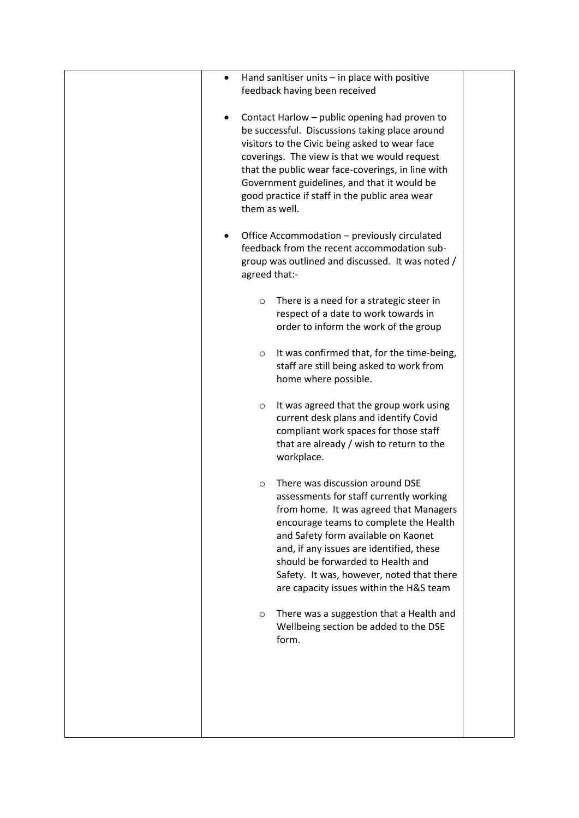| Hand sanitiser units $-$ in place with positive<br>$\bullet$<br>feedback having been received<br>Contact Harlow - public opening had proven to<br>be successful. Discussions taking place around<br>visitors to the Civic being asked to wear face<br>coverings. The view is that we would request<br>that the public wear face-coverings, in line with<br>Government guidelines, and that it would be<br>good practice if staff in the public area wear<br>them as well.<br>Office Accommodation – previously circulated<br>$\bullet$<br>feedback from the recent accommodation sub-<br>group was outlined and discussed. It was noted /<br>agreed that:-<br>There is a need for a strategic steer in<br>$\circ$<br>respect of a date to work towards in<br>order to inform the work of the group<br>It was confirmed that, for the time-being,<br>$\circ$<br>staff are still being asked to work from<br>home where possible.<br>It was agreed that the group work using<br>$\circ$<br>current desk plans and identify Covid<br>compliant work spaces for those staff<br>that are already / wish to return to the<br>workplace.<br>There was discussion around DSE<br>$\Omega$<br>assessments for staff currently working<br>from home. It was agreed that Managers<br>encourage teams to complete the Health<br>and Safety form available on Kaonet<br>and, if any issues are identified, these<br>should be forwarded to Health and<br>Safety. It was, however, noted that there<br>are capacity issues within the H&S team<br>There was a suggestion that a Health and<br>$\circ$<br>Wellbeing section be added to the DSE<br>form. |
|------------------------------------------------------------------------------------------------------------------------------------------------------------------------------------------------------------------------------------------------------------------------------------------------------------------------------------------------------------------------------------------------------------------------------------------------------------------------------------------------------------------------------------------------------------------------------------------------------------------------------------------------------------------------------------------------------------------------------------------------------------------------------------------------------------------------------------------------------------------------------------------------------------------------------------------------------------------------------------------------------------------------------------------------------------------------------------------------------------------------------------------------------------------------------------------------------------------------------------------------------------------------------------------------------------------------------------------------------------------------------------------------------------------------------------------------------------------------------------------------------------------------------------------------------------------------------------------------------------------------------------------|
|                                                                                                                                                                                                                                                                                                                                                                                                                                                                                                                                                                                                                                                                                                                                                                                                                                                                                                                                                                                                                                                                                                                                                                                                                                                                                                                                                                                                                                                                                                                                                                                                                                          |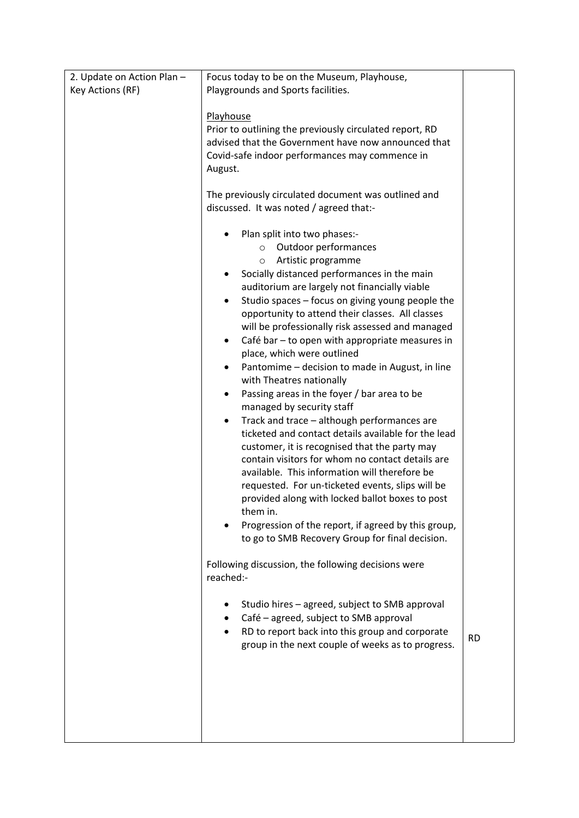| 2. Update on Action Plan - | Focus today to be on the Museum, Playhouse,                                                                                                                                                                                                                                                                                                                                                                                                                                                                                                                                                                                                                                                                                                                                                                                                                                                                                                                                                                                                                                                                                                                                                                                                                                                                                                                                                                                                                                                                                                                                                                                                                                                                |           |
|----------------------------|------------------------------------------------------------------------------------------------------------------------------------------------------------------------------------------------------------------------------------------------------------------------------------------------------------------------------------------------------------------------------------------------------------------------------------------------------------------------------------------------------------------------------------------------------------------------------------------------------------------------------------------------------------------------------------------------------------------------------------------------------------------------------------------------------------------------------------------------------------------------------------------------------------------------------------------------------------------------------------------------------------------------------------------------------------------------------------------------------------------------------------------------------------------------------------------------------------------------------------------------------------------------------------------------------------------------------------------------------------------------------------------------------------------------------------------------------------------------------------------------------------------------------------------------------------------------------------------------------------------------------------------------------------------------------------------------------------|-----------|
| Key Actions (RF)           | Playgrounds and Sports facilities.                                                                                                                                                                                                                                                                                                                                                                                                                                                                                                                                                                                                                                                                                                                                                                                                                                                                                                                                                                                                                                                                                                                                                                                                                                                                                                                                                                                                                                                                                                                                                                                                                                                                         |           |
|                            | Playhouse<br>Prior to outlining the previously circulated report, RD<br>advised that the Government have now announced that<br>Covid-safe indoor performances may commence in<br>August.<br>The previously circulated document was outlined and<br>discussed. It was noted / agreed that:-<br>Plan split into two phases:-<br>Outdoor performances<br>$\circ$<br>Artistic programme<br>$\circ$<br>Socially distanced performances in the main<br>auditorium are largely not financially viable<br>Studio spaces - focus on giving young people the<br>$\bullet$<br>opportunity to attend their classes. All classes<br>will be professionally risk assessed and managed<br>Café bar - to open with appropriate measures in<br>٠<br>place, which were outlined<br>Pantomime - decision to made in August, in line<br>with Theatres nationally<br>Passing areas in the foyer / bar area to be<br>$\bullet$<br>managed by security staff<br>Track and trace - although performances are<br>٠<br>ticketed and contact details available for the lead<br>customer, it is recognised that the party may<br>contain visitors for whom no contact details are<br>available. This information will therefore be<br>requested. For un-ticketed events, slips will be<br>provided along with locked ballot boxes to post<br>them in.<br>Progression of the report, if agreed by this group,<br>to go to SMB Recovery Group for final decision.<br>Following discussion, the following decisions were<br>reached:-<br>Studio hires - agreed, subject to SMB approval<br>Café - agreed, subject to SMB approval<br>RD to report back into this group and corporate<br>group in the next couple of weeks as to progress. | <b>RD</b> |
|                            |                                                                                                                                                                                                                                                                                                                                                                                                                                                                                                                                                                                                                                                                                                                                                                                                                                                                                                                                                                                                                                                                                                                                                                                                                                                                                                                                                                                                                                                                                                                                                                                                                                                                                                            |           |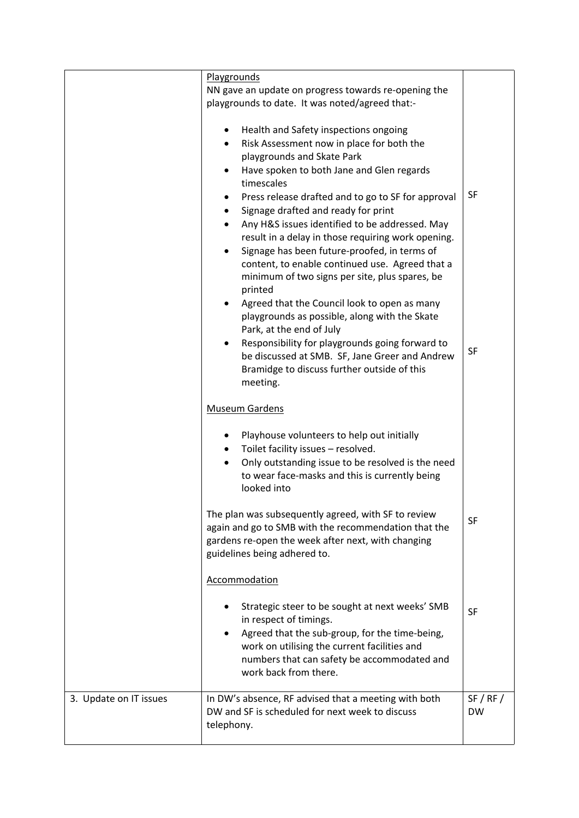|                        | Playgrounds                                                                                                                                                                                                                                                                                                                                                                                                                                                                                                                                                               |                        |
|------------------------|---------------------------------------------------------------------------------------------------------------------------------------------------------------------------------------------------------------------------------------------------------------------------------------------------------------------------------------------------------------------------------------------------------------------------------------------------------------------------------------------------------------------------------------------------------------------------|------------------------|
|                        | NN gave an update on progress towards re-opening the                                                                                                                                                                                                                                                                                                                                                                                                                                                                                                                      |                        |
|                        | playgrounds to date. It was noted/agreed that:-                                                                                                                                                                                                                                                                                                                                                                                                                                                                                                                           |                        |
|                        | Health and Safety inspections ongoing<br>٠<br>Risk Assessment now in place for both the<br>$\bullet$<br>playgrounds and Skate Park<br>Have spoken to both Jane and Glen regards<br>timescales<br>Press release drafted and to go to SF for approval<br>Signage drafted and ready for print<br>٠<br>Any H&S issues identified to be addressed. May<br>$\bullet$<br>result in a delay in those requiring work opening.<br>Signage has been future-proofed, in terms of<br>content, to enable continued use. Agreed that a<br>minimum of two signs per site, plus spares, be | SF                     |
|                        | printed<br>Agreed that the Council look to open as many<br>٠<br>playgrounds as possible, along with the Skate<br>Park, at the end of July<br>Responsibility for playgrounds going forward to<br>be discussed at SMB. SF, Jane Greer and Andrew<br>Bramidge to discuss further outside of this<br>meeting.                                                                                                                                                                                                                                                                 | SF                     |
|                        | <b>Museum Gardens</b>                                                                                                                                                                                                                                                                                                                                                                                                                                                                                                                                                     |                        |
|                        | Playhouse volunteers to help out initially<br>$\bullet$<br>Toilet facility issues - resolved.<br>٠<br>Only outstanding issue to be resolved is the need<br>$\bullet$<br>to wear face-masks and this is currently being<br>looked into                                                                                                                                                                                                                                                                                                                                     |                        |
|                        | The plan was subsequently agreed, with SF to review<br>again and go to SMB with the recommendation that the<br>gardens re-open the week after next, with changing<br>guidelines being adhered to.                                                                                                                                                                                                                                                                                                                                                                         | SF                     |
|                        | Accommodation                                                                                                                                                                                                                                                                                                                                                                                                                                                                                                                                                             |                        |
|                        | Strategic steer to be sought at next weeks' SMB<br>in respect of timings.<br>Agreed that the sub-group, for the time-being,<br>work on utilising the current facilities and<br>numbers that can safety be accommodated and<br>work back from there.                                                                                                                                                                                                                                                                                                                       | SF                     |
| 3. Update on IT issues | In DW's absence, RF advised that a meeting with both<br>DW and SF is scheduled for next week to discuss<br>telephony.                                                                                                                                                                                                                                                                                                                                                                                                                                                     | SF / RF /<br><b>DW</b> |